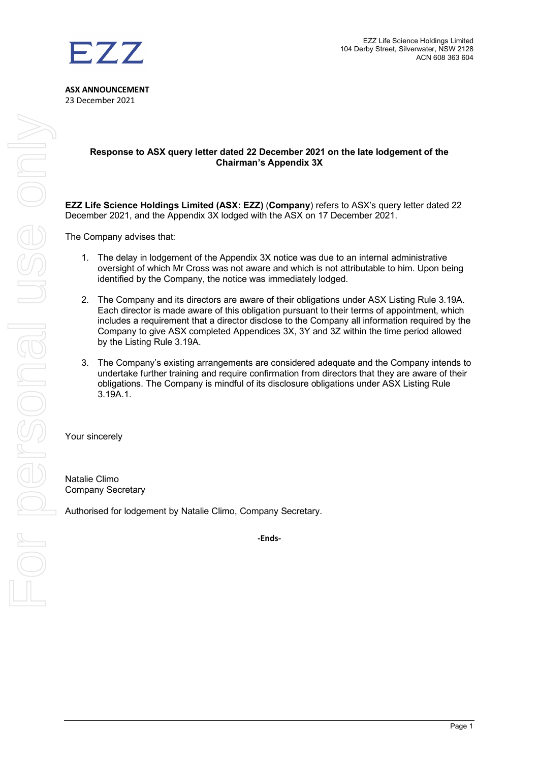### **Response to ASX query letter dated 22 December 2021 on the late lodgement of the Chairman's Appendix 3X**

**EZZ Life Science Holdings Limited (ASX: EZZ)** (**Company**) refers to ASX's query letter dated 22 December 2021, and the Appendix 3X lodged with the ASX on 17 December 2021.

The Company advises that:

- 1. The delay in lodgement of the Appendix 3X notice was due to an internal administrative oversight of which Mr Cross was not aware and which is not attributable to him. Upon being identified by the Company, the notice was immediately lodged.
- 2. The Company and its directors are aware of their obligations under ASX Listing Rule 3.19A. Each director is made aware of this obligation pursuant to their terms of appointment, which includes a requirement that a director disclose to the Company all information required by the Company to give ASX completed Appendices 3X, 3Y and 3Z within the time period allowed by the Listing Rule 3.19A.
- 3. The Company's existing arrangements are considered adequate and the Company intends to undertake further training and require confirmation from directors that they are aware of their obligations. The Company is mindful of its disclosure obligations under ASX Listing Rule 3.19A.1.

Your sincerely

Natalie Climo Company Secretary

Authorised for lodgement by Natalie Climo, Company Secretary.

**-Ends-**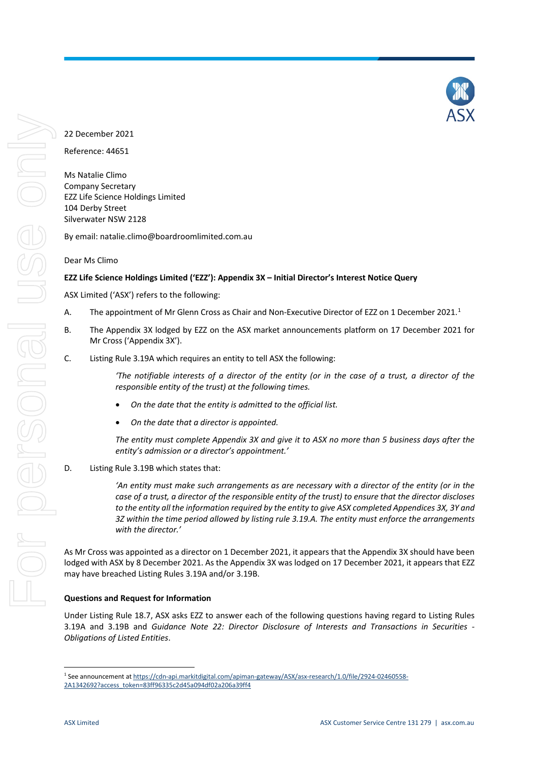

# 22 December 2021

Reference: 44651

Ms Natalie Climo Company Secretary EZZ Life Science Holdings Limited 104 Derby Street Silverwater NSW 2128

By email: natalie.climo@boardroomlimited.com.au

Dear Ms Climo

## **EZZ Life Science Holdings Limited ('EZZ'): Appendix 3X – Initial Director's Interest Notice Query**

ASX Limited ('ASX') refers to the following:

- A. The appointment of Mr Glenn Cross as Chair and Non-Executive Director of EZZ on [1](#page-1-0) December 2021.<sup>1</sup>
- B. The Appendix 3X lodged by EZZ on the ASX market announcements platform on 17 December 2021 for Mr Cross ('Appendix 3X').
- C. Listing Rule 3.19A which requires an entity to tell ASX the following:

*'The notifiable interests of a director of the entity (or in the case of a trust, a director of the responsible entity of the trust) at the following times.*

- *On the date that the entity is admitted to the official list.*
- *On the date that a director is appointed.*

*The entity must complete Appendix 3X and give it to ASX no more than 5 business days after the entity's admission or a director's appointment.'*

D. Listing Rule 3.19B which states that:

*'An entity must make such arrangements as are necessary with a director of the entity (or in the case of a trust, a director of the responsible entity of the trust) to ensure that the director discloses to the entity all the information required by the entity to give ASX completed Appendices 3X, 3Y and 3Z within the time period allowed by listing rule 3.19.A. The entity must enforce the arrangements with the director.'*

As Mr Cross was appointed as a director on 1 December 2021, it appears that the Appendix 3X should have been lodged with ASX by 8 December 2021. As the Appendix 3X was lodged on 17 December 2021, it appears that EZZ may have breached Listing Rules 3.19A and/or 3.19B.

## **Questions and Request for Information**

Under Listing Rule 18.7, ASX asks EZZ to answer each of the following questions having regard to Listing Rules 3.19A and 3.19B and *Guidance Note 22: Director Disclosure of Interests and Transactions in Securities - Obligations of Listed Entities*.

<span id="page-1-0"></span> <sup>1</sup> See announcement a[t https://cdn-api.markitdigital.com/apiman-gateway/ASX/asx-research/1.0/file/2924-02460558-](https://cdn-api.markitdigital.com/apiman-gateway/ASX/asx-research/1.0/file/2924-02460558-2A1342692?access_token=83ff96335c2d45a094df02a206a39ff4) [2A1342692?access\\_token=83ff96335c2d45a094df02a206a39ff4](https://cdn-api.markitdigital.com/apiman-gateway/ASX/asx-research/1.0/file/2924-02460558-2A1342692?access_token=83ff96335c2d45a094df02a206a39ff4)